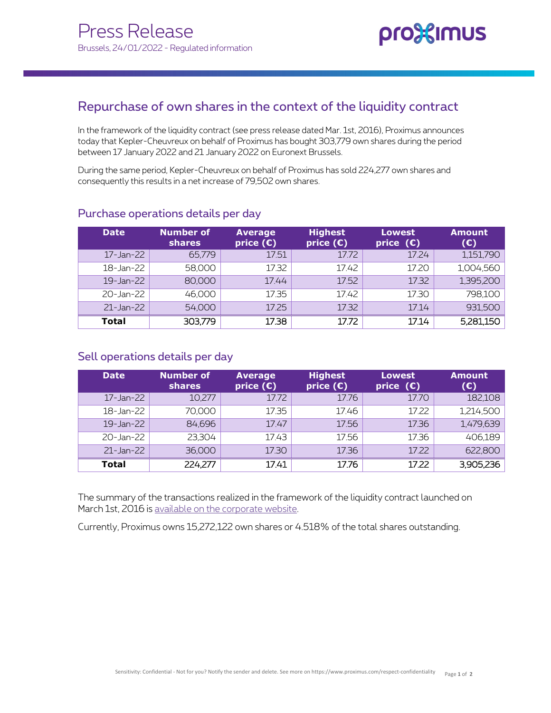## Repurchase of own shares in the context of the liquidity contract

 today that Kepler-Cheuvreux on behalf of Proximus has bought 303,779 own shares during the period In the framework of the liquidity contract (see press release dated Mar. 1st, 2016), Proximus announces between 17 January 2022 and 21 January 2022 on Euronext Brussels.

During the same period, Kepler-Cheuvreux on behalf of Proximus has sold 224,277 own shares and consequently this results in a net increase of 79,502 own shares.

| <b>Date</b>     | Number of<br><b>shares</b> | <b>Average</b><br>price $(E)$ | <b>Highest</b><br>price $(\epsilon)$ | <b>Lowest</b><br>price $(E)$ | <b>Amount</b><br>$(\epsilon)$ |
|-----------------|----------------------------|-------------------------------|--------------------------------------|------------------------------|-------------------------------|
| 17-Jan-22       | 65,779                     | 17.51                         | 17.72                                | 17.24                        | 1,151,790                     |
| 18-Jan-22       | 58,000                     | 17.32                         | 17.42                                | 17.20                        | 1,004,560                     |
| 19-Jan-22       | 80,000                     | 17.44                         | 17.52                                | 17.32                        | 1,395,200                     |
| 20-Jan-22       | 46,000                     | 17.35                         | 17.42                                | 17.30                        | 798,100                       |
| $21 - Jan - 22$ | 54,000                     | 17.25                         | 17.32                                | 17.14                        | 931,500                       |
| <b>Total</b>    | 303,779                    | 17.38                         | 17.72                                | 17.14                        | 5,281,150                     |

## Purchase operations details per day

## Sell operations details per day

| <b>Date</b>     | <b>Number of</b><br><b>shares</b> | <b>Average</b><br>price $(E)$ | <b>Highest</b><br>price $(\epsilon)$ | <b>Lowest</b><br>price $(\mathbf{C})$ | <b>Amount</b><br>(E) |
|-----------------|-----------------------------------|-------------------------------|--------------------------------------|---------------------------------------|----------------------|
| 17-Jan-22       | 10,277                            | 17.72                         | 17.76                                | 17.70                                 | 182,108              |
| 18-Jan-22       | 70,000                            | 17.35                         | 17.46                                | 17.22                                 | 1,214,500            |
| $19 - Jan - 22$ | 84,696                            | 17.47                         | 17.56                                | 17.36                                 | 1,479,639            |
| 20-Jan-22       | 23,304                            | 17.43                         | 17.56                                | 17.36                                 | 406,189              |
| 21-Jan-22       | 36,000                            | 17.30                         | 17.36                                | 17.22                                 | 622,800              |
| <b>Total</b>    | 224,277                           | 17.41                         | 17.76                                | 17.22                                 | 3,905,236            |

The summary of the transactions realized in the framework of the liquidity contract launched on March 1st, 2016 is available on the corporate website.

Currently, Proximus owns 15,272,122 own shares or 4.518% of the total shares outstanding.